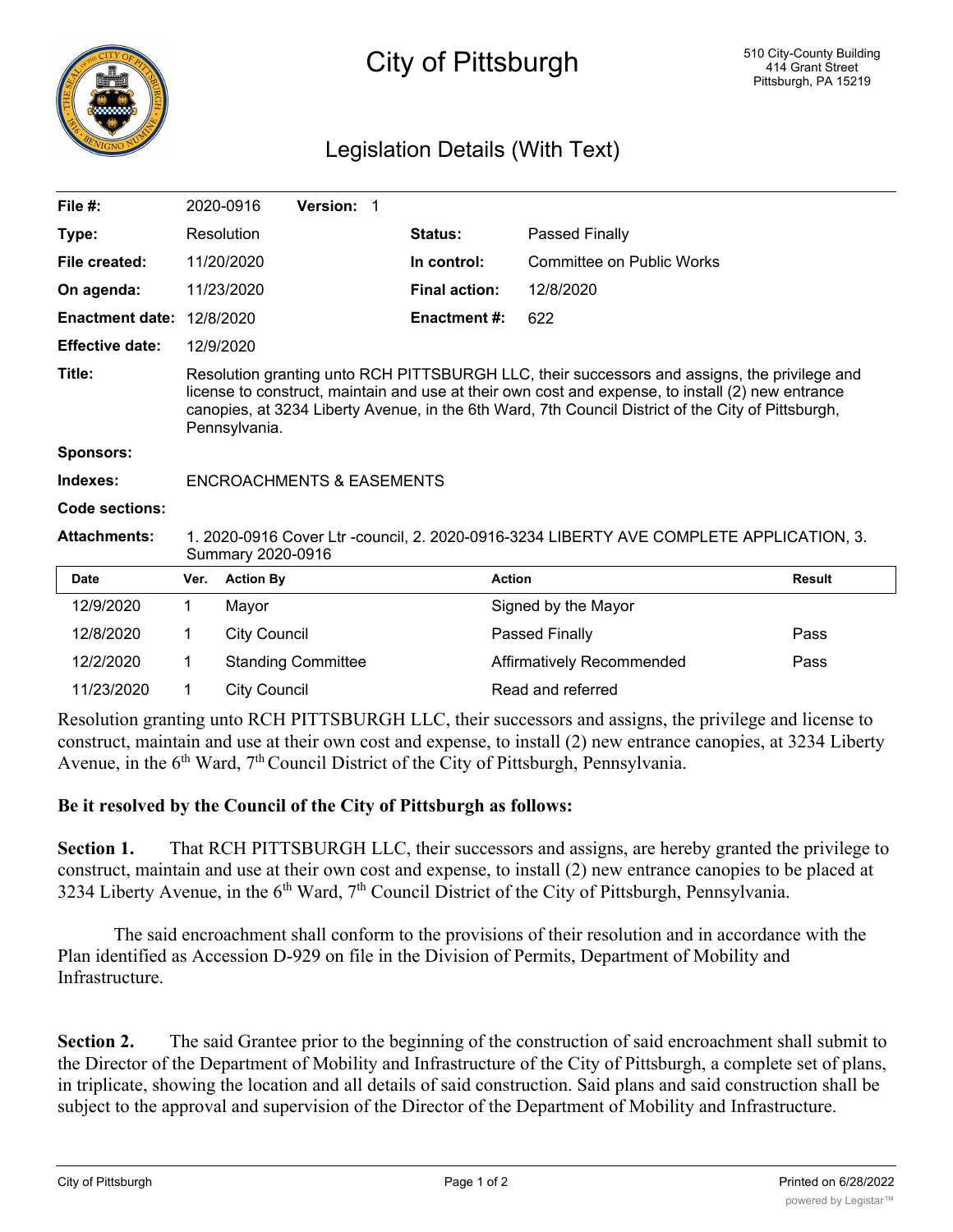

## City of Pittsburgh

## Legislation Details (With Text)

| File $#$ :             |                                                                                                                                                                                                                                                                                                                          | 2020-0916           | <b>Version: 1</b>         |  |                      |                           |               |
|------------------------|--------------------------------------------------------------------------------------------------------------------------------------------------------------------------------------------------------------------------------------------------------------------------------------------------------------------------|---------------------|---------------------------|--|----------------------|---------------------------|---------------|
| Type:                  |                                                                                                                                                                                                                                                                                                                          | Resolution          |                           |  | <b>Status:</b>       | Passed Finally            |               |
| File created:          |                                                                                                                                                                                                                                                                                                                          | 11/20/2020          |                           |  | In control:          | Committee on Public Works |               |
| On agenda:             |                                                                                                                                                                                                                                                                                                                          | 11/23/2020          |                           |  | <b>Final action:</b> | 12/8/2020                 |               |
| <b>Enactment date:</b> | 12/8/2020                                                                                                                                                                                                                                                                                                                |                     |                           |  | <b>Enactment #:</b>  | 622                       |               |
| <b>Effective date:</b> |                                                                                                                                                                                                                                                                                                                          | 12/9/2020           |                           |  |                      |                           |               |
| Title:                 | Resolution granting unto RCH PITTSBURGH LLC, their successors and assigns, the privilege and<br>license to construct, maintain and use at their own cost and expense, to install (2) new entrance<br>canopies, at 3234 Liberty Avenue, in the 6th Ward, 7th Council District of the City of Pittsburgh,<br>Pennsylvania. |                     |                           |  |                      |                           |               |
| Sponsors:              |                                                                                                                                                                                                                                                                                                                          |                     |                           |  |                      |                           |               |
| Indexes:               | <b>ENCROACHMENTS &amp; EASEMENTS</b>                                                                                                                                                                                                                                                                                     |                     |                           |  |                      |                           |               |
| Code sections:         |                                                                                                                                                                                                                                                                                                                          |                     |                           |  |                      |                           |               |
| <b>Attachments:</b>    | 1. 2020-0916 Cover Ltr -council, 2. 2020-0916-3234 LIBERTY AVE COMPLETE APPLICATION, 3.<br>Summary 2020-0916                                                                                                                                                                                                             |                     |                           |  |                      |                           |               |
| <b>Date</b>            | Ver.                                                                                                                                                                                                                                                                                                                     | <b>Action By</b>    |                           |  |                      | <b>Action</b>             | <b>Result</b> |
| 12/9/2020              | 1                                                                                                                                                                                                                                                                                                                        | Mayor               |                           |  |                      | Signed by the Mayor       |               |
| 12/8/2020              | 1                                                                                                                                                                                                                                                                                                                        | <b>City Council</b> |                           |  |                      | Passed Finally            | Pass          |
| 12/2/2020              | 1                                                                                                                                                                                                                                                                                                                        |                     | <b>Standing Committee</b> |  |                      | Affirmatively Recommended | Pass          |
| 11/23/2020             | 1                                                                                                                                                                                                                                                                                                                        | <b>City Council</b> |                           |  |                      | Read and referred         |               |

Resolution granting unto RCH PITTSBURGH LLC, their successors and assigns, the privilege and license to construct, maintain and use at their own cost and expense, to install (2) new entrance canopies, at 3234 Liberty Avenue, in the  $6<sup>th</sup>$  Ward,  $7<sup>th</sup>$  Council District of the City of Pittsburgh, Pennsylvania.

## **Be it resolved by the Council of the City of Pittsburgh as follows:**

**Section 1.** That RCH PITTSBURGH LLC, their successors and assigns, are hereby granted the privilege to construct, maintain and use at their own cost and expense, to install (2) new entrance canopies to be placed at 3234 Liberty Avenue, in the  $6<sup>th</sup>$  Ward,  $7<sup>th</sup>$  Council District of the City of Pittsburgh, Pennsylvania.

The said encroachment shall conform to the provisions of their resolution and in accordance with the Plan identified as Accession D-929 on file in the Division of Permits, Department of Mobility and Infrastructure.

**Section 2.** The said Grantee prior to the beginning of the construction of said encroachment shall submit to the Director of the Department of Mobility and Infrastructure of the City of Pittsburgh, a complete set of plans, in triplicate, showing the location and all details of said construction. Said plans and said construction shall be subject to the approval and supervision of the Director of the Department of Mobility and Infrastructure.